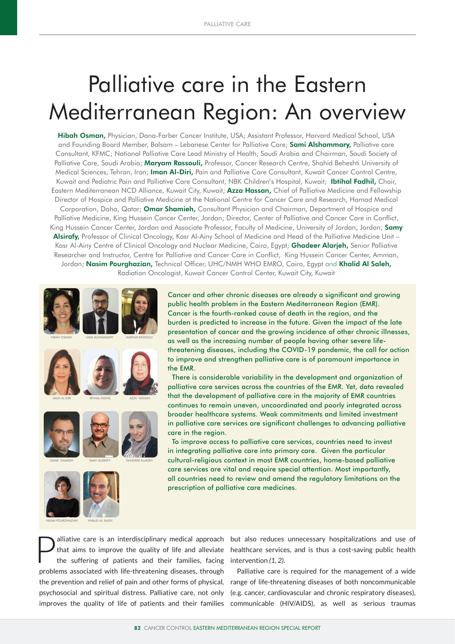# Palliative care in the Eastern Mediterranean Region: An overview

Hibah Osman, Physician, Dana-Farber Cancer Institute, USA; Assistant Professor, Harvard Medical School, USA and Founding Board Member, Balsam – Lebanese Center for Palliative Care; Sami Alshammary, Palliative care Consultant, KFMC; National Palliative Care Lead Ministry of Health, Saudi Arabia and Chairman, Saudi Society of Palliative Care, Saudi Arabia; Maryam Rassouli, Professor, Cancer Research Centre, Shahid Beheshti University of Medical Sciences, Tehran, Iran; Iman Al-Diri, Pain and Palliative Care Consultant, Kuwait Cancer Control Centre, Kuwait and Pediatric Pain and Palliative Care Consultant, NBK Children's Hospital, Kuwait; Ibtihal Fadhil, Chair, Eastern Mediterranean NCD Alliance, Kuwait City, Kuwait; Azza Hassan, Chief of Palliative Medicine and Fellowship Director of Hospice and Palliative Medicine at the National Centre for Cancer Care and Research, Hamad Medical Corporation, Doha, Qatar; Omar Shamieh, Consultant Physician and Chairman, Department of Hospice and Palliative Medicine, King Hussein Cancer Center, Jordan; Director, Center of Palliative and Cancer Care in Conflict, King Hussein Cancer Center, Jordan and Associate Professor, Faculty of Medicine, University of Jordan, Jordan; Samy Alsirafy, Professor of Clinical Oncology, Kasr Al-Ainy School of Medicine and Head of the Palliative Medicine Unit -Kasr Al-Ainy Centre of Clinical Oncology and Nuclear Medicine, Cairo, Egypt; Ghadeer Alarjeh, Senior Palliative Researcher and Instructor, Centre for Palliative and Cancer Care in Conflict, King Hussein Cancer Center, Amman, Jordan; Nasim Pourghazian, Technical Officer, UHC/NMH WHO EMRO, Cairo, Egypt and Khalid Al Saleh, Radiation Oncologist, Kuwait Cancer Control Center, Kuwait City, Kuwait



KHALID AL SALEH

Cancer and other chronic diseases are already a significant and growing public health problem in the Eastern Mediterranean Region (EMR). Cancer is the fourth-ranked cause of death in the region, and the burden is predicted to increase in the future. Given the impact of the late presentation of cancer and the growing incidence of other chronic illnesses, as well as the increasing number of people having other severe lifethreatening diseases, including the COVID-19 pandemic, the call for action to improve and strengthen palliative care is of paramount importance in the EMR. There is considerable variability in the development and organization of

palliative care services across the countries of the EMR. Yet, data revealed that the development of palliative care in the majority of EMR countries continues to remain uneven, uncoordinated and poorly integrated across broader healthcare systems. Weak commitments and limited investment in palliative care services are significant challenges to advancing palliative care in the region.

 To improve access to palliative care services, countries need to invest in integrating palliative care into primary care. Given the particular cultural-religious context in most EMR countries, home-based palliative care services are vital and require special attention. Most importantly, all countries need to review and amend the regulatory limitations on the prescription of palliative care medicines.

that aims to improve the quality of life and alleviate the suffering of patients and their families, facing problems associated with life-threatening diseases, through the prevention and relief of pain and other forms of physical, psychosocial and spiritual distress. Palliative care, not only

alliative care is an interdisciplinary medical approach but also reduces unnecessary hospitalizations and use of that aims to improve the quality of life and alleviate healthcare services, and is thus a cost-saving public healthcare services, and is thus a cost-saving public health intervention *(1, 2).*

improves the quality of life of patients and their families communicable (HIV/AIDS), as well as serious traumas Palliative care is required for the management of a wide range of life-threatening diseases of both noncommunicable (e.g. cancer, cardiovascular and chronic respiratory diseases),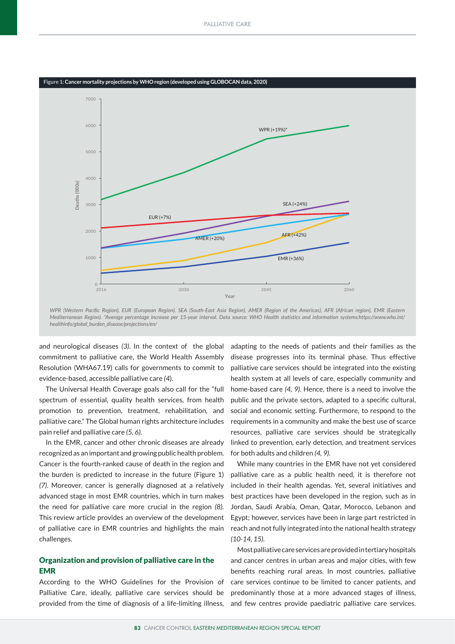

*WPR (Western Pacific Region), EUR (European Region), SEA (South-East Asia Region), AMER (Region of the Americas), AFR (African region), EMR (Eastern Mediterranean Region). \*Average percentage increase per 15-year interval. Data source: WHO Health statistics and information systems:https://www.who.int/ healthinfo/global\_burden\_disease/projections/en/*

and neurological diseases *(3)*. In the context of the global commitment to palliative care, the World Health Assembly Resolution (WHA67.19) calls for governments to commit to evidence-based, accessible palliative care *(4*).

The Universal Health Coverage goals also call for the "full spectrum of essential, quality health services, from health promotion to prevention, treatment, rehabilitation, and palliative care." The Global human rights architecture includes pain relief and palliative care *(5, 6).*

In the EMR, cancer and other chronic diseases are already recognized as an important and growing public health problem. Cancer is the fourth-ranked cause of death in the region and the burden is predicted to increase in the future (Figure 1) *(7)*. Moreover, cancer is generally diagnosed at a relatively advanced stage in most EMR countries, which in turn makes the need for palliative care more crucial in the region *(8).*  This review article provides an overview of the development of palliative care in EMR countries and highlights the main challenges.

## Organization and provision of palliative care in the EMR

According to the WHO Guidelines for the Provision of Palliative Care, ideally, palliative care services should be provided from the time of diagnosis of a life-limiting illness,

adapting to the needs of patients and their families as the disease progresses into its terminal phase. Thus effective palliative care services should be integrated into the existing health system at all levels of care, especially community and home-based care *(4, 9)*. Hence, there is a need to involve the public and the private sectors, adapted to a specific cultural, social and economic setting. Furthermore, to respond to the requirements in a community and make the best use of scarce resources, palliative care services should be strategically linked to prevention, early detection, and treatment services for both adults and children *(4, 9).*

While many countries in the EMR have not yet considered palliative care as a public health need, it is therefore not included in their health agendas. Yet, several initiatives and best practices have been developed in the region, such as in Jordan, Saudi Arabia, Oman, Qatar, Morocco, Lebanon and Egypt; however, services have been in large part restricted in reach and not fully integrated into the national health strategy *(10-14, 15).*

Most palliative care services are provided in tertiary hospitals and cancer centres in urban areas and major cities, with few benefits reaching rural areas. In most countries, palliative care services continue to be limited to cancer patients, and predominantly those at a more advanced stages of illness, and few centres provide paediatric palliative care services.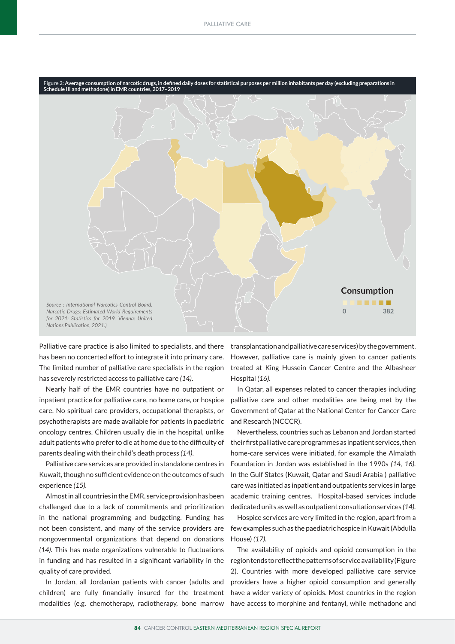

Palliative care practice is also limited to specialists, and there has been no concerted effort to integrate it into primary care. The limited number of palliative care specialists in the region has severely restricted access to palliative care *(14)*.

Nearly half of the EMR countries have no outpatient or inpatient practice for palliative care, no home care, or hospice care. No spiritual care providers, occupational therapists, or psychotherapists are made available for patients in paediatric oncology centres. Children usually die in the hospital, unlike adult patients who prefer to die at home due to the difficulty of parents dealing with their child's death process *(14)*.

Palliative care services are provided in standalone centres in Kuwait, though no sufficient evidence on the outcomes of such experience *(15).*

Almost in all countries in the EMR, service provision has been challenged due to a lack of commitments and prioritization in the national programming and budgeting. Funding has not been consistent, and many of the service providers are nongovernmental organizations that depend on donations *(14).* This has made organizations vulnerable to fluctuations in funding and has resulted in a significant variability in the quality of care provided.

In Jordan, all Jordanian patients with cancer (adults and children) are fully financially insured for the treatment modalities (e.g. chemotherapy, radiotherapy, bone marrow

transplantation and palliative care services) by the government. However, palliative care is mainly given to cancer patients treated at King Hussein Cancer Centre and the Albasheer Hospital *(16).*

In Qatar, all expenses related to cancer therapies including palliative care and other modalities are being met by the Government of Qatar at the National Center for Cancer Care and Research (NCCCR).

Nevertheless, countries such as Lebanon and Jordan started their first palliative care programmes as inpatient services, then home-care services were initiated, for example the Almalath Foundation in Jordan was established in the 1990s *(14, 16).* In the Gulf States (Kuwait, Qatar and Saudi Arabia ) palliative care was initiated as inpatient and outpatients services in large academic training centres. Hospital-based services include dedicated units as well as outpatient consultation services *(14).*

Hospice services are very limited in the region, apart from a few examples such as the paediatric hospice in Kuwait (Abdulla House) *(17).*

The availability of opioids and opioid consumption in the region tends to reflect the patterns of service availability (Figure 2). Countries with more developed palliative care service providers have a higher opioid consumption and generally have a wider variety of opioids. Most countries in the region have access to morphine and fentanyl, while methadone and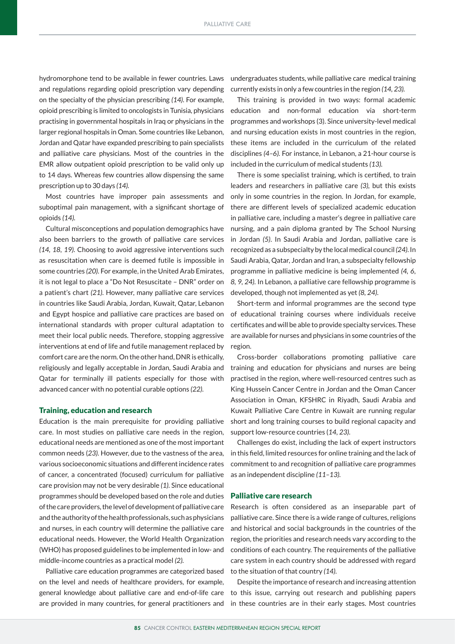hydromorphone tend to be available in fewer countries. Laws and regulations regarding opioid prescription vary depending on the specialty of the physician prescribing *(14)*. For example, opioid prescribing is limited to oncologists in Tunisia, physicians practising in governmental hospitals in Iraq or physicians in the larger regional hospitals in Oman. Some countries like Lebanon, Jordan and Qatar have expanded prescribing to pain specialists and palliative care physicians. Most of the countries in the EMR allow outpatient opioid prescription to be valid only up to 14 days. Whereas few countries allow dispensing the same prescription up to 30 days *(14).*

Most countries have improper pain assessments and suboptimal pain management, with a significant shortage of opioids *(14).*

Cultural misconceptions and population demographics have also been barriers to the growth of palliative care services *(14, 18, 19).* Choosing to avoid aggressive interventions such as resuscitation when care is deemed futile is impossible in some countries *(20).* For example, in the United Arab Emirates, it is not legal to place a "Do Not Resuscitate – DNR" order on a patient's chart *(21).* However, many palliative care services in countries like Saudi Arabia, Jordan, Kuwait, Qatar, Lebanon and Egypt hospice and palliative care practices are based on international standards with proper cultural adaptation to meet their local public needs. Therefore, stopping aggressive interventions at end of life and futile management replaced by comfort care are the norm. On the other hand, DNR is ethically, religiously and legally acceptable in Jordan, Saudi Arabia and Qatar for terminally ill patients especially for those with advanced cancer with no potential curable options *(22).*

#### Training, education and research

Education is the main prerequisite for providing palliative care. In most studies on palliative care needs in the region, educational needs are mentioned as one of the most important common needs (*23).* However, due to the vastness of the area, various socioeconomic situations and different incidence rates of cancer, a concentrated (focused) curriculum for palliative care provision may not be very desirable *(1).* Since educational programmes should be developed based on the role and duties of the care providers, the level of development of palliative care and the authority of the health professionals, such as physicians and nurses, in each country will determine the palliative care educational needs. However, the World Health Organization (WHO) has proposed guidelines to be implemented in low- and middle-income countries as a practical model *(2).*

Palliative care education programmes are categorized based on the level and needs of healthcare providers, for example, general knowledge about palliative care and end-of-life care are provided in many countries, for general practitioners and

undergraduates students, while palliative care medical training currently exists in only a few countries in the region *(14, 23).*

This training is provided in two ways: formal academic education and non-formal education via short-term programmes and workshops (3). Since university-level medical and nursing education exists in most countries in the region, these items are included in the curriculum of the related disciplines *(4–6).* For instance, in Lebanon, a 21-hour course is included in the curriculum of medical students *(13).*

There is some specialist training, which is certified, to train leaders and researchers in palliative care *(3),* but this exists only in some countries in the region. In Jordan, for example, there are different levels of specialized academic education in palliative care, including a master's degree in palliative care nursing, and a pain diploma granted by The School Nursing in Jordan *(5)*. In Saudi Arabia and Jordan, palliative care is recognized as a subspecialty by the local medical council *(24)*. In Saudi Arabia, Qatar, Jordan and Iran, a subspecialty fellowship programme in palliative medicine is being implemented *(4, 6, 8, 9, 24).* In Lebanon, a palliative care fellowship programme is developed, though not implemented as yet *(8, 24)*.

Short-term and informal programmes are the second type of educational training courses where individuals receive certificates and will be able to provide specialty services. These are available for nurses and physicians in some countries of the region.

Cross-border collaborations promoting palliative care training and education for physicians and nurses are being practised in the region, where well-resourced centres such as King Hussein Cancer Centre in Jordan and the Oman Cancer Association in Oman, KFSHRC in Riyadh, Saudi Arabia and Kuwait Palliative Care Centre in Kuwait are running regular short and long training courses to build regional capacity and support low-resource countries (*14, 23).*

Challenges do exist, including the lack of expert instructors in this field, limited resources for online training and the lack of commitment to and recognition of palliative care programmes as an independent discipline *(11–13).*

#### Palliative care research

Research is often considered as an inseparable part of palliative care. Since there is a wide range of cultures, religions and historical and social backgrounds in the countries of the region, the priorities and research needs vary according to the conditions of each country. The requirements of the palliative care system in each country should be addressed with regard to the situation of that country *(14).*

Despite the importance of research and increasing attention to this issue, carrying out research and publishing papers in these countries are in their early stages. Most countries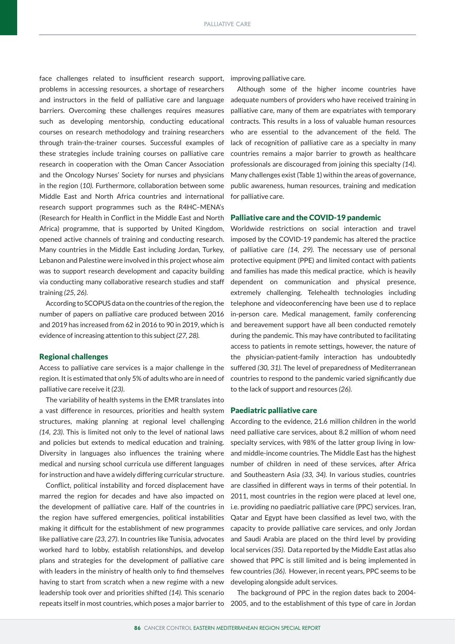face challenges related to insufficient research support, improving palliative care. problems in accessing resources, a shortage of researchers and instructors in the field of palliative care and language barriers. Overcoming these challenges requires measures such as developing mentorship, conducting educational courses on research methodology and training researchers through train-the-trainer courses. Successful examples of these strategies include training courses on palliative care research in cooperation with the Oman Cancer Association and the Oncology Nurses' Society for nurses and physicians in the region (*10).* Furthermore, collaboration between some Middle East and North Africa countries and international research support programmes such as the R4HC–MENA's (Research for Health in Conflict in the Middle East and North Africa) programme, that is supported by United Kingdom, opened active channels of training and conducting research. Many countries in the Middle East including Jordan, Turkey, Lebanon and Palestine were involved in this project whose aim was to support research development and capacity building via conducting many collaborative research studies and staff training *(25, 26).* 

According to SCOPUS data on the countries of the region, the number of papers on palliative care produced between 2016 and 2019 has increased from 62 in 2016 to 90 in 2019, which is evidence of increasing attention to this subject *(27, 28).*

### Regional challenges

Access to palliative care services is a major challenge in the region. It is estimated that only 5% of adults who are in need of palliative care receive it *(23)*.

The variability of health systems in the EMR translates into a vast difference in resources, priorities and health system structures, making planning at regional level challenging *(14, 23)*. This is limited not only to the level of national laws and policies but extends to medical education and training. Diversity in languages also influences the training where medical and nursing school curricula use different languages for instruction and have a widely differing curricular structure.

Conflict, political instability and forced displacement have marred the region for decades and have also impacted on the development of palliative care. Half of the countries in the region have suffered emergencies, political instabilities making it difficult for the establishment of new programmes like palliative care *(23, 27)*. In countries like Tunisia, advocates worked hard to lobby, establish relationships, and develop plans and strategies for the development of palliative care with leaders in the ministry of health only to find themselves having to start from scratch when a new regime with a new leadership took over and priorities shifted *(14).* This scenario

Although some of the higher income countries have adequate numbers of providers who have received training in palliative care, many of them are expatriates with temporary contracts. This results in a loss of valuable human resources who are essential to the advancement of the field. The lack of recognition of palliative care as a specialty in many countries remains a major barrier to growth as healthcare professionals are discouraged from joining this specialty *(14)*. Many challenges exist (Table 1) within the areas of governance, public awareness, human resources, training and medication for palliative care.

### Palliative care and the COVID-19 pandemic

Worldwide restrictions on social interaction and travel imposed by the COVID-19 pandemic has altered the practice of palliative care *(14, 29).* The necessary use of personal protective equipment (PPE) and limited contact with patients and families has made this medical practice, which is heavily dependent on communication and physical presence, extremely challenging. Telehealth technologies including telephone and videoconferencing have been use d to replace in-person care. Medical management, family conferencing and bereavement support have all been conducted remotely during the pandemic. This may have contributed to facilitating access to patients in remote settings, however, the nature of the physician-patient-family interaction has undoubtedly suffered *(30, 31).* The level of preparedness of Mediterranean countries to respond to the pandemic varied significantly due to the lack of support and resources *(26).* 

#### Paediatric palliative care

According to the evidence, 21.6 million children in the world need palliative care services, about 8.2 million of whom need specialty services, with 98% of the latter group living in lowand middle-income countries. The Middle East has the highest number of children in need of these services, after Africa and Southeastern Asia *(33, 34).* In various studies, countries are classified in different ways in terms of their potential. In 2011, most countries in the region were placed at level one, i.e. providing no paediatric palliative care (PPC) services. Iran, Qatar and Egypt have been classified as level two, with the capacity to provide palliative care services, and only Jordan and Saudi Arabia are placed on the third level by providing local services *(35)*. Data reported by the Middle East atlas also showed that PPC is still limited and is being implemented in few countries *(36)*. However, in recent years, PPC seems to be developing alongside adult services.

The background of PPC in the region dates back to 2004 repeats itself in most countries, which poses a major barrier to 2005, and to the establishment of this type of care in Jordan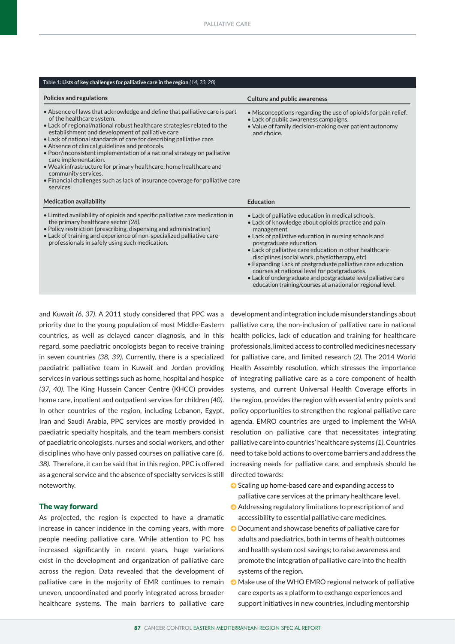#### **Table 1: Lists of key challenges for palliative care in the region** *(14, 23, 28)*

| Policies and regulations                                                                                                                                                                                                                                                                                                                                                                                                                                                                                                                                                                                                                                      | <b>Culture and public awareness</b>                                                                                                                                                                                                                                                                                                                                                                                                                                                                                                                                    |
|---------------------------------------------------------------------------------------------------------------------------------------------------------------------------------------------------------------------------------------------------------------------------------------------------------------------------------------------------------------------------------------------------------------------------------------------------------------------------------------------------------------------------------------------------------------------------------------------------------------------------------------------------------------|------------------------------------------------------------------------------------------------------------------------------------------------------------------------------------------------------------------------------------------------------------------------------------------------------------------------------------------------------------------------------------------------------------------------------------------------------------------------------------------------------------------------------------------------------------------------|
| • Absence of laws that acknowledge and define that palliative care is part<br>of the healthcare system.<br>• Lack of regional/national robust healthcare strategies related to the<br>establishment and development of palliative care<br>. Lack of national standards of care for describing palliative care.<br>• Absence of clinical guidelines and protocols.<br>. Poor/inconsistent implementation of a national strategy on palliative<br>care implementation.<br>• Weak infrastructure for primary healthcare, home healthcare and<br>community services.<br>• Financial challenges such as lack of insurance coverage for palliative care<br>services | • Misconceptions regarding the use of opioids for pain relief.<br>• Lack of public awareness campaigns.<br>• Value of family decision-making over patient autonomy<br>and choice.                                                                                                                                                                                                                                                                                                                                                                                      |
| <b>Medication availability</b>                                                                                                                                                                                                                                                                                                                                                                                                                                                                                                                                                                                                                                | <b>Education</b>                                                                                                                                                                                                                                                                                                                                                                                                                                                                                                                                                       |
| • Limited availability of opioids and specific palliative care medication in<br>the primary healthcare sector (28).<br>• Policy restriction (prescribing, dispensing and administration)<br>• Lack of training and experience of non-specialized palliative care<br>professionals in safely using such medication.                                                                                                                                                                                                                                                                                                                                            | • Lack of palliative education in medical schools.<br>• Lack of knowledge about opioids practice and pain<br>management<br>• Lack of palliative education in nursing schools and<br>postgraduate education.<br>• Lack of palliative care education in other healthcare<br>disciplines (social work, physiotherapy, etc)<br>• Expanding Lack of postgraduate palliative care education<br>courses at national level for postgraduates.<br>• Lack of undergraduate and postgraduate level palliative care<br>education training/courses at a national or regional level. |

and Kuwait *(6, 37)*. A 2011 study considered that PPC was a priority due to the young population of most Middle-Eastern countries, as well as delayed cancer diagnosis, and in this regard, some paediatric oncologists began to receive training in seven countries *(38, 39)*. Currently, there is a specialized paediatric palliative team in Kuwait and Jordan providing services in various settings such as home, hospital and hospice *(37, 40)*. The King Hussein Cancer Centre (KHCC) provides home care, inpatient and outpatient services for children *(40)*. In other countries of the region, including Lebanon, Egypt, Iran and Saudi Arabia, PPC services are mostly provided in paediatric specialty hospitals, and the team members consist of paediatric oncologists, nurses and social workers, and other disciplines who have only passed courses on palliative care *(6, 38).* Therefore, it can be said that in this region, PPC is offered as a general service and the absence of specialty services is still noteworthy.

### The way forward

As projected, the region is expected to have a dramatic increase in cancer incidence in the coming years, with more people needing palliative care. While attention to PC has increased significantly in recent years, huge variations exist in the development and organization of palliative care across the region. Data revealed that the development of palliative care in the majority of EMR continues to remain uneven, uncoordinated and poorly integrated across broader healthcare systems. The main barriers to palliative care

development and integration include misunderstandings about palliative care, the non-inclusion of palliative care in national health policies, lack of education and training for healthcare professionals, limited access to controlled medicines necessary for palliative care, and limited research *(2)*. The 2014 World Health Assembly resolution, which stresses the importance of integrating palliative care as a core component of health systems, and current Universal Health Coverage efforts in the region, provides the region with essential entry points and policy opportunities to strengthen the regional palliative care agenda. EMRO countries are urged to implement the WHA resolution on palliative care that necessitates integrating palliative care into countries' healthcare systems *(1)*. Countries need to take bold actions to overcome barriers and address the increasing needs for palliative care, and emphasis should be directed towards:

- $\bullet$  Scaling up home-based care and expanding access to palliative care services at the primary healthcare level.
- $\bullet$  Addressing regulatory limitations to prescription of and accessibility to essential palliative care medicines.
- $\bullet$  Document and showcase benefits of palliative care for adults and paediatrics, both in terms of health outcomes and health system cost savings; to raise awareness and promote the integration of palliative care into the health systems of the region.
- $\odot$  Make use of the WHO EMRO regional network of palliative care experts as a platform to exchange experiences and support initiatives in new countries, including mentorship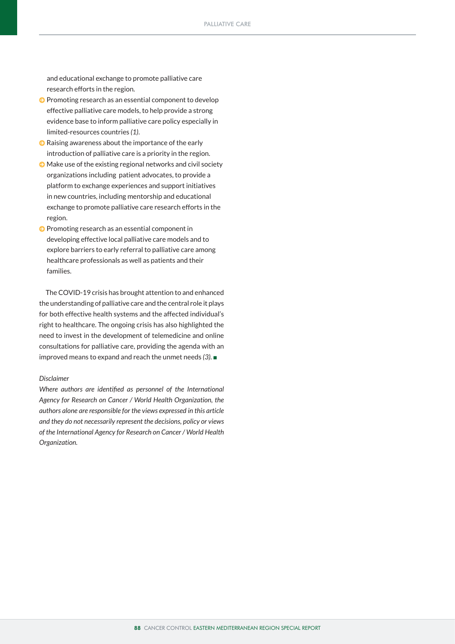and educational exchange to promote palliative care research efforts in the region.

- $\Theta$  Promoting research as an essential component to develop effective palliative care models, to help provide a strong evidence base to inform palliative care policy especially in limited-resources countries *(1)*.
- $\bullet$  Raising awareness about the importance of the early introduction of palliative care is a priority in the region.
- $\odot$  Make use of the existing regional networks and civil society organizations including patient advocates, to provide a platform to exchange experiences and support initiatives in new countries, including mentorship and educational exchange to promote palliative care research efforts in the region.
- $\odot$  Promoting research as an essential component in developing effective local palliative care models and to explore barriers to early referral to palliative care among healthcare professionals as well as patients and their families.

The COVID-19 crisis has brought attention to and enhanced the understanding of palliative care and the central role it plays for both effective health systems and the affected individual's right to healthcare. The ongoing crisis has also highlighted the need to invest in the development of telemedicine and online consultations for palliative care, providing the agenda with an improved means to expand and reach the unmet needs *(3).* <sup>n</sup>

#### *Disclaimer*

*Where authors are identified as personnel of the International Agency for Research on Cancer / World Health Organization, the authors alone are responsible for the views expressed in this article and they do not necessarily represent the decisions, policy or views of the International Agency for Research on Cancer / World Health Organization.*